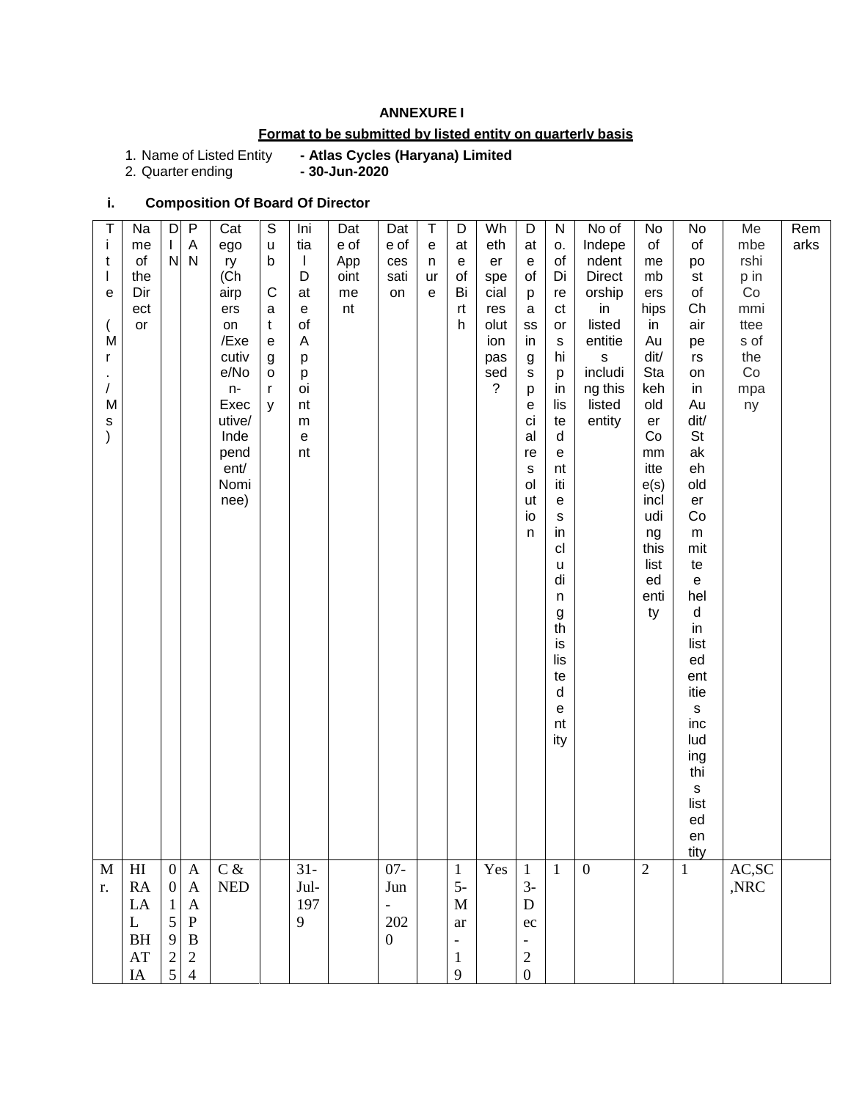## **ANNEXURE I**

# **Format to be submitted by listed entity on quarterly basis**

1. Name of Listed Entity<br>2. Quarter ending

- Atlas Cycles (Haryana) Limited<br>- 30-Jun-2020

# **i. Composition Of Board Of Director**

| T<br>j.<br>t<br>$\mathsf{I}$<br>e<br>M<br>r<br>/<br>M<br>$\mathsf{s}$<br>$\mathcal{E}$ | Na<br>me<br>of<br>the<br>Dir<br>ect<br>or                                    | D<br>L<br>N                                                                                  | $\mathsf{P}$<br>A<br>N                                                                                      | Cat<br>ego<br>ry<br>(Ch<br>airp<br>ers<br>on<br>/Exe<br>cutiv<br>e/No<br>n-<br>Exec<br>utive/<br>Inde<br>pend<br>ent/<br>Nomi<br>nee) | $\mathbb S$<br>$\sf u$<br>b<br>$\mathsf{C}$<br>a<br>$\mathsf{t}$<br>${\bf e}$<br>g<br>$\mathsf{o}$<br>r<br>y | Ini<br>tia<br>$\mathbf{I}$<br>D<br>at<br>e<br>of<br>A<br>p<br>p<br>oi<br>nt<br>${\sf m}$<br>e<br>nt | Dat<br>e of<br>App<br>oint<br>me<br>nt | Dat<br>e of<br>ces<br>sati<br>on                                     | T<br>e<br>n<br>ur<br>$\mathsf{e}% _{0}\left( \mathsf{e}\right)$ | D<br>at<br>${\bf e}$<br>of<br>Bi<br>rt<br>h                                      | Wh<br>eth<br>er<br>spe<br>cial<br>res<br>olut<br>ion<br>pas<br>sed<br>$\tilde{?}$ | D<br>at<br>$\mathsf{e}\,$<br>of<br>p<br>$\mathbf a$<br>SS<br>in<br>$\boldsymbol{g}$<br>s<br>p<br>е<br>ci<br>al<br>re<br>s<br>ol<br>ut<br>io<br>n | ${\sf N}$<br>О.<br>of<br>Di<br>re<br>ct<br>or<br>s<br>hi<br>p<br>in<br>lis<br>te<br>$\sf d$<br>e<br>nt<br>iti<br>e<br>${\bf S}$<br>in<br>cl<br>u<br>di<br>$\sf n$<br>g<br>th<br>is<br>lis<br>te<br>$\sf d$<br>e<br>nt<br>ity | No of<br>Indepe<br>ndent<br><b>Direct</b><br>orship<br>in<br>listed<br>entitie<br>s<br>includi<br>ng this<br>listed<br>entity | No<br>of<br>me<br>mb<br>ers<br>hips<br>in<br>Au<br>dit/<br>Sta<br>keh<br>old<br>er<br>Co<br>mm<br>itte<br>e(s)<br>incl<br>udi<br>ng<br>this<br>list<br>ed<br>enti<br>ty | No<br>of<br>po<br>st<br>$\circ f$<br>Ch<br>air<br>pe<br>rs<br>on<br>in<br>Au<br>dit/<br>St<br>ak<br>eh<br>old<br>er<br>Co<br>${\sf m}$<br>mit<br>te<br>$\mathsf{e}% _{t}\left( t\right)$<br>hel<br>$\sf d$<br>in<br>list<br>ed<br>ent<br>itie<br>$\mathsf{s}$<br>inc<br>lud<br>ing<br>thi<br>$\mathsf{s}$<br>list<br>ed<br>en<br>tity | Me<br>mbe<br>rshi<br>p in<br>Co<br>mmi<br>ttee<br>s of<br>the<br>Co<br>mpa<br>ny | Rem<br>arks |
|----------------------------------------------------------------------------------------|------------------------------------------------------------------------------|----------------------------------------------------------------------------------------------|-------------------------------------------------------------------------------------------------------------|---------------------------------------------------------------------------------------------------------------------------------------|--------------------------------------------------------------------------------------------------------------|-----------------------------------------------------------------------------------------------------|----------------------------------------|----------------------------------------------------------------------|-----------------------------------------------------------------|----------------------------------------------------------------------------------|-----------------------------------------------------------------------------------|--------------------------------------------------------------------------------------------------------------------------------------------------|------------------------------------------------------------------------------------------------------------------------------------------------------------------------------------------------------------------------------|-------------------------------------------------------------------------------------------------------------------------------|-------------------------------------------------------------------------------------------------------------------------------------------------------------------------|---------------------------------------------------------------------------------------------------------------------------------------------------------------------------------------------------------------------------------------------------------------------------------------------------------------------------------------|----------------------------------------------------------------------------------|-------------|
| $\mathbf M$<br>r.                                                                      | H <sub>I</sub><br>RA<br>LA<br>L<br><b>BH</b><br>$\mathbf{A}\mathbf{T}$<br>IA | $\mathbf{0}$<br>$\boldsymbol{0}$<br>1<br>$\mathfrak{S}$<br>9<br>$\sqrt{2}$<br>$\mathfrak{S}$ | $\mathbf{A}$<br>$\mathbf{A}$<br>$\mathbf{A}$<br>$\mathbf P$<br>$\, {\bf B}$<br>$\sqrt{2}$<br>$\overline{4}$ | $C\,\&$<br>$\ensuremath{\mathsf{NED}}$                                                                                                |                                                                                                              | $31 -$<br>Jul-<br>197<br>9                                                                          |                                        | $07 -$<br>Jun<br>$\overline{\phantom{a}}$<br>202<br>$\boldsymbol{0}$ |                                                                 | $\mathbf{1}$<br>$5-$<br>M<br>ar<br>$\overline{\phantom{a}}$<br>$\mathbf{1}$<br>9 | Yes                                                                               | $\mathbf{1}$<br>$3-$<br>$\mathbf D$<br>ec<br>$\overline{\phantom{a}}$<br>$\sqrt{2}$<br>$\boldsymbol{0}$                                          | $\mathbf{1}$                                                                                                                                                                                                                 | $\mathbf{0}$                                                                                                                  | $\overline{2}$                                                                                                                                                          | $\mathbf{1}$                                                                                                                                                                                                                                                                                                                          | AC, SC<br>,NRC                                                                   |             |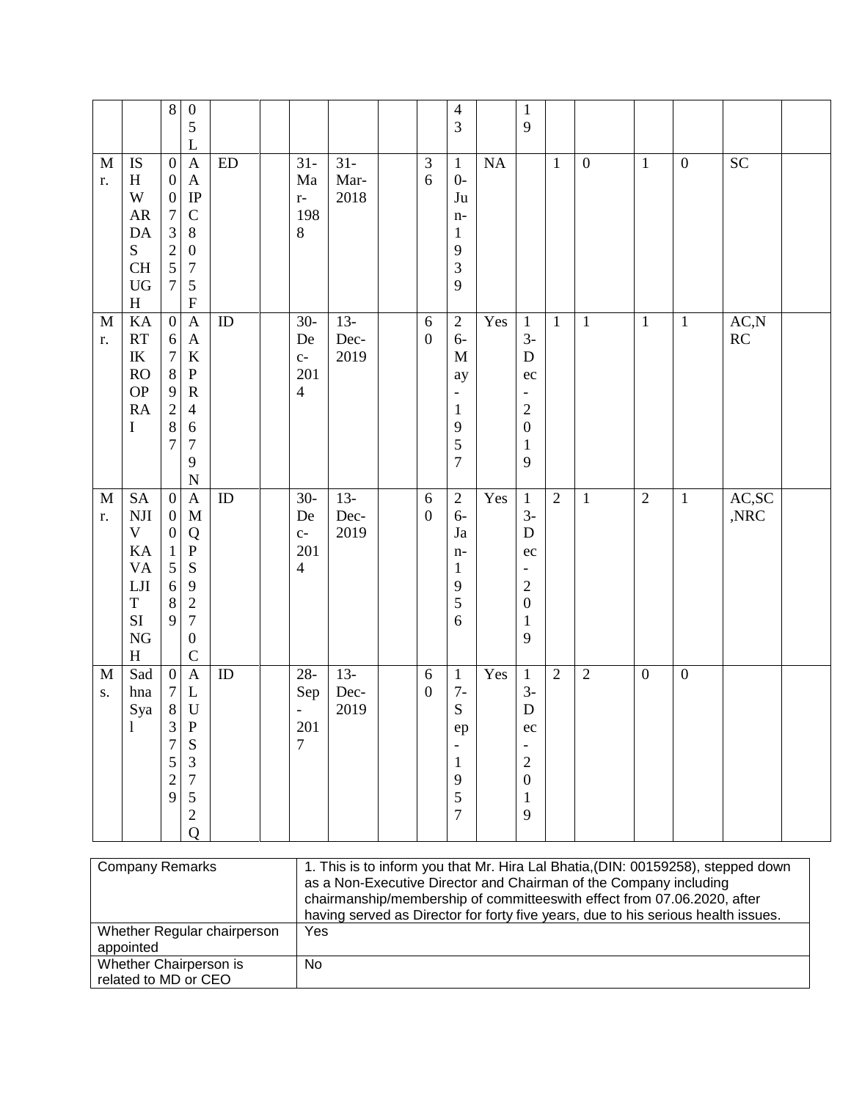|                             |                                                                                                                         | $\,8\,$                                                                                                                    | $\boldsymbol{0}$<br>$\mathfrak s$<br>L                                                                                                                                |            |                                                                        |                        |                                  | $\overline{4}$<br>3                                                                                   |     | $\mathbf{1}$<br>9                                                                                           |              |                  |                  |                  |                         |  |
|-----------------------------|-------------------------------------------------------------------------------------------------------------------------|----------------------------------------------------------------------------------------------------------------------------|-----------------------------------------------------------------------------------------------------------------------------------------------------------------------|------------|------------------------------------------------------------------------|------------------------|----------------------------------|-------------------------------------------------------------------------------------------------------|-----|-------------------------------------------------------------------------------------------------------------|--------------|------------------|------------------|------------------|-------------------------|--|
| $\mathbf M$<br>r.           | <b>IS</b><br>$H_{\rm}$<br>W<br>${\sf AR}$<br>$\mathbf{DA}$<br>${\bf S}$<br><b>CH</b><br>${\rm U}{\rm G}$<br>$\mathbf H$ | $\boldsymbol{0}$<br>$\boldsymbol{0}$<br>$\boldsymbol{0}$<br>$\boldsymbol{7}$<br>3<br>$\overline{c}$<br>5<br>$\overline{7}$ | $\mathbf{A}$<br>$\boldsymbol{\mathsf{A}}$<br>$\rm IP$<br>$\mathcal{C}$<br>$8\,$<br>$\boldsymbol{0}$<br>$\boldsymbol{7}$<br>$\mathfrak s$<br>$\boldsymbol{\mathrm{F}}$ | ${\rm ED}$ | $31 -$<br>Ma<br>$r-$<br>198<br>$8\,$                                   | $31 -$<br>Mar-<br>2018 | $\ensuremath{\mathfrak{Z}}$<br>6 | $\mathbf{1}$<br>$0-$<br>Ju<br>$n-$<br>$\mathbf{1}$<br>$\mathbf{9}$<br>3<br>9                          | NA  |                                                                                                             | $\mathbf{1}$ | $\boldsymbol{0}$ | $\mathbf{1}$     | $\boldsymbol{0}$ | $\overline{SC}$         |  |
| $\mathbf M$<br>r.           | KA<br>RT<br>$\ensuremath{\textup{IK}}\xspace$<br>RO<br><b>OP</b><br><b>RA</b><br>$\bf I$                                | $\overline{0}$<br>6<br>$\boldsymbol{7}$<br>$\,8\,$<br>$\mathbf{9}$<br>$\overline{2}$<br>$\,8\,$<br>$\overline{7}$          | $\mathbf{A}$<br>$\mathbf{A}$<br>$\bf K$<br>$\mathbf P$<br>${\bf R}$<br>$\overline{4}$<br>6<br>$\boldsymbol{7}$<br>9<br>$\mathbf N$                                    | ${\rm ID}$ | $30-$<br>De<br>$C-$<br>201<br>$\overline{4}$                           | $13-$<br>Dec-<br>2019  | $\sqrt{6}$<br>$\boldsymbol{0}$   | $\sqrt{2}$<br>$6-$<br>$\mathbf M$<br>ay<br>$\blacksquare$<br>$\mathbf{1}$<br>9<br>5<br>$\overline{7}$ | Yes | $\mathbf{1}$<br>$3-$<br>$\mathbf D$<br>ec<br>$\sqrt{2}$<br>$\boldsymbol{0}$<br>$\mathbf{1}$<br>$\mathbf{9}$ | $\mathbf{1}$ | $1\,$            | $\overline{1}$   | $\overline{1}$   | AC, N<br>RC             |  |
| M<br>r.                     | <b>SA</b><br>$\rm NJI$<br>V<br>KA<br><b>VA</b><br>$_{\rm LJI}$<br>$\mathbf T$<br>SI<br>${\rm NG}$<br>H                  | $\boldsymbol{0}$<br>$\boldsymbol{0}$<br>$\boldsymbol{0}$<br>$\mathbf{1}$<br>$\sqrt{5}$<br>$\sqrt{6}$<br>$\,8\,$<br>9       | $\mathbf{A}$<br>M<br>Q<br>${\bf P}$<br>S<br>9<br>$\sqrt{2}$<br>$\boldsymbol{7}$<br>$\boldsymbol{0}$<br>$\mathcal{C}$                                                  | ID         | $30-$<br>De<br>$C-$<br>201<br>$\overline{4}$                           | $13 -$<br>Dec-<br>2019 | $\sqrt{6}$<br>$\boldsymbol{0}$   | $\sqrt{2}$<br>$6-$<br>$\mathrm{Ja}$<br>$n-$<br>$\mathbf{1}$<br>9<br>5<br>6                            | Yes | $\mathbf{1}$<br>$3-$<br>$\mathbf D$<br>ec<br>$\overline{c}$<br>$\boldsymbol{0}$<br>$\mathbf{1}$<br>9        | $\sqrt{2}$   | $\mathbf{1}$     | $\overline{2}$   | $\mathbf{1}$     | AC,SC<br>$,\!{\rm NRC}$ |  |
| $\mathbf{M}$<br>${\bf S}$ . | Sad<br>hna<br>Sya<br>$\mathbf{1}$                                                                                       | $\boldsymbol{0}$<br>$\tau$<br>$8\,$<br>3<br>$\overline{7}$<br>5<br>$\overline{c}$<br>9                                     | $\mathbf{A}$<br>L<br>$\mathbf U$<br>$\mathbf P$<br>${\bf S}$<br>$\mathfrak{Z}$<br>$\boldsymbol{7}$<br>$\sqrt{5}$<br>$\sqrt{2}$<br>Q                                   | ID         | $28 -$<br>Sep<br>$\qquad \qquad \blacksquare$<br>201<br>$\overline{7}$ | $13-$<br>Dec-<br>2019  | $\sqrt{6}$<br>$\boldsymbol{0}$   | $\mathbf{1}$<br>$7-$<br>${\bf S}$<br>ep<br>$\mathbf{1}$<br>9<br>5<br>$\overline{7}$                   | Yes | $\mathbf{1}$<br>$3-$<br>${\bf D}$<br>ec<br>$\sqrt{2}$<br>$\boldsymbol{0}$<br>$\mathbf{1}$<br>$\mathbf{9}$   | $\sqrt{2}$   | $\sqrt{2}$       | $\boldsymbol{0}$ | $\boldsymbol{0}$ |                         |  |

| <b>Company Remarks</b>                   | 1. This is to inform you that Mr. Hira Lal Bhatia, (DIN: 00159258), stepped down<br>as a Non-Executive Director and Chairman of the Company including<br>chairmanship/membership of committees with effect from 07.06.2020, after<br>having served as Director for forty five years, due to his serious health issues. |
|------------------------------------------|------------------------------------------------------------------------------------------------------------------------------------------------------------------------------------------------------------------------------------------------------------------------------------------------------------------------|
| Whether Regular chairperson<br>appointed | Yes                                                                                                                                                                                                                                                                                                                    |
| Whether Chairperson is                   | No.                                                                                                                                                                                                                                                                                                                    |
| related to MD or CEO                     |                                                                                                                                                                                                                                                                                                                        |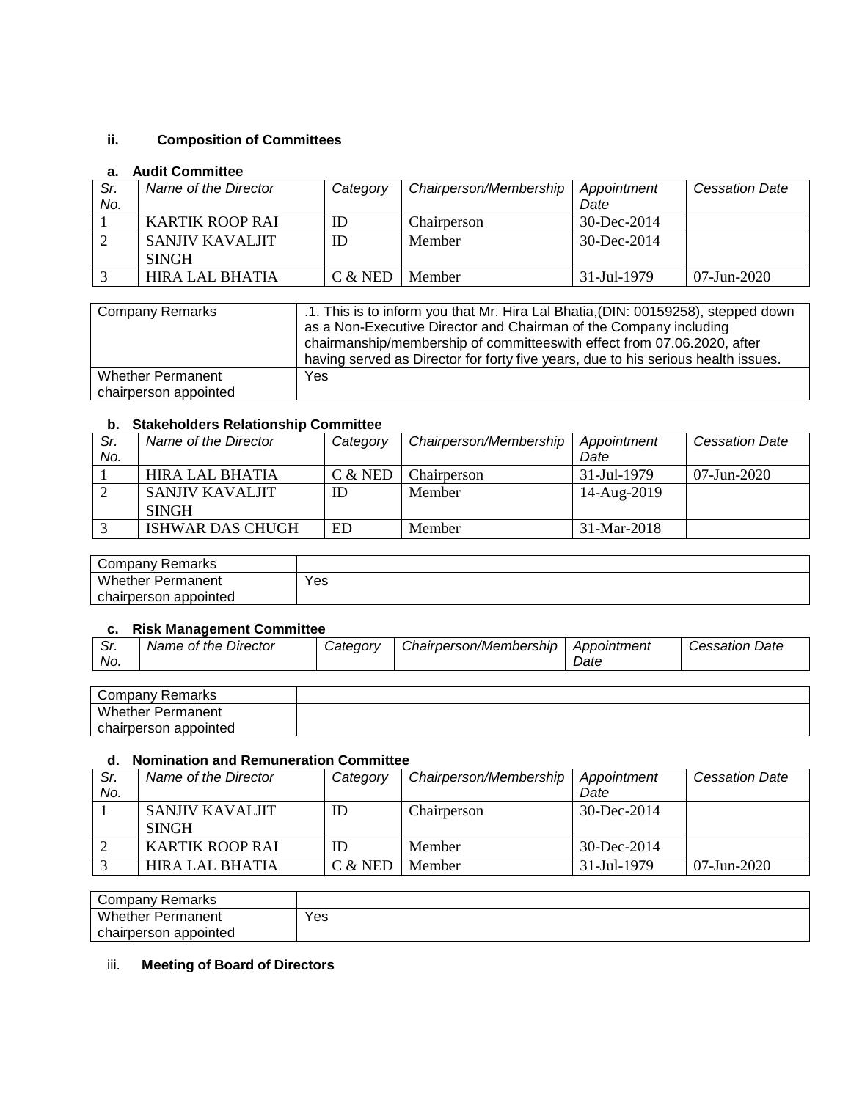# **ii. Composition of Committees**

## **a. Audit Committee**

| Sr. | Name of the Director | Category | Chairperson/Membership | Appointment       | <b>Cessation Date</b> |
|-----|----------------------|----------|------------------------|-------------------|-----------------------|
| No. |                      |          |                        | Date              |                       |
|     | KARTIK ROOP RAI      | ID       | Chairperson            | $30 - Dec - 2014$ |                       |
|     | SANJIV KAVALJIT      | ID       | Member                 | $30 - Dec - 2014$ |                       |
|     | <b>SINGH</b>         |          |                        |                   |                       |
|     | HIRA LAL BHATIA      | C & NED  | Member                 | 31-Jul-1979       | 07-Jun-2020           |

| <b>Company Remarks</b>   | .1. This is to inform you that Mr. Hira Lal Bhatia, (DIN: 00159258), stepped down |
|--------------------------|-----------------------------------------------------------------------------------|
|                          | as a Non-Executive Director and Chairman of the Company including                 |
|                          | chairmanship/membership of committeeswith effect from 07.06.2020, after           |
|                          | having served as Director for forty five years, due to his serious health issues. |
| <b>Whether Permanent</b> | Yes                                                                               |
| chairperson appointed    |                                                                                   |

## **b. Stakeholders Relationship Committee**

| Sr. | Name of the Director | Category  | Chairperson/Membership | Appointment   | <b>Cessation Date</b> |
|-----|----------------------|-----------|------------------------|---------------|-----------------------|
| No. |                      |           |                        | Date          |                       |
|     | HIRA LAL BHATIA      | $C &$ NED | Chairperson            | 31-Jul-1979   | $07$ -Jun-2020        |
|     | SANJIV KAVALJIT      | ID        | Member                 | 14-Aug-2019   |                       |
|     | <b>SINGH</b>         |           |                        |               |                       |
|     | ISHWAR DAS CHUGH     | <b>ED</b> | Member                 | $31-Mar-2018$ |                       |

| Company Remarks          |     |
|--------------------------|-----|
| <b>Whether Permanent</b> | Yes |
| chairperson appointed    |     |

## **c. Risk Management Committee**

| ، اب<br>No. | Name of the Director | Categorv | Chairperson/Membership | Appointment<br>Date | <b>Cessation Date</b> |
|-------------|----------------------|----------|------------------------|---------------------|-----------------------|
|             |                      |          |                        |                     |                       |

| Company Remarks          |  |
|--------------------------|--|
| <b>Whether Permanent</b> |  |
| chairperson appointed    |  |

## **d. Nomination and Remuneration Committee**

| Sr.<br>No. | Name of the Director            | Category | Chairperson/Membership | Appointment<br>Date | <b>Cessation Date</b> |
|------------|---------------------------------|----------|------------------------|---------------------|-----------------------|
|            | SANJIV KAVALJIT<br><b>SINGH</b> | ID       | Chairperson            | $30 - Dec - 2014$   |                       |
|            | KARTIK ROOP RAI                 | ID       | Member                 | $30 - Dec - 2014$   |                       |
|            | HIRA LAL BHATIA                 | C & NED  | Member                 | 31-Jul-1979         | $07$ -Jun-2020        |

| Company Remarks          |     |
|--------------------------|-----|
| <b>Whether Permanent</b> | Yes |
| chairperson appointed    |     |

# iii. **Meeting of Board of Directors**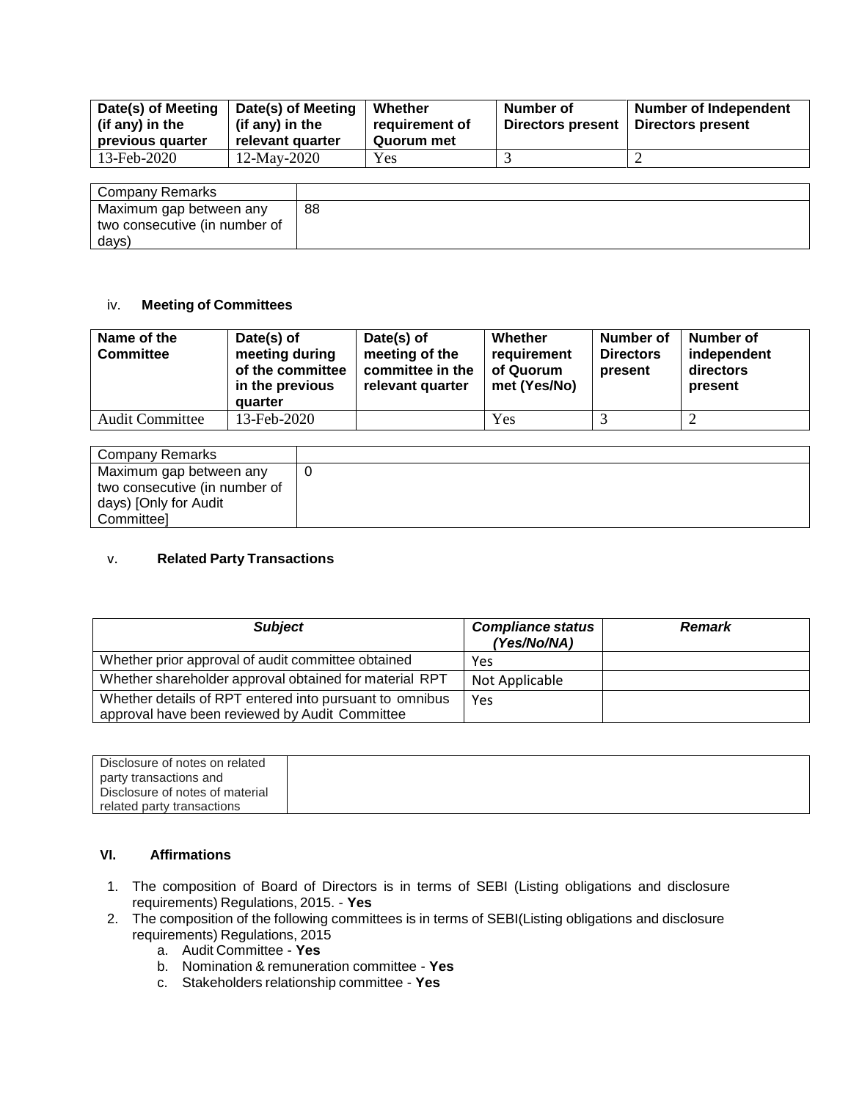| Date(s) of Meeting<br>(if any) in the<br>previous quarter | Date(s) of Meeting<br>(if any) in the<br>relevant quarter | Whether<br>requirement of<br>Quorum met | Number of<br>Directors present | <b>Number of Independent</b><br>Directors present |
|-----------------------------------------------------------|-----------------------------------------------------------|-----------------------------------------|--------------------------------|---------------------------------------------------|
| 13-Feb-2020                                               | $12$ -May-2020                                            | Yes                                     |                                |                                                   |

| Company Remarks               |    |
|-------------------------------|----|
| Maximum gap between any       | 88 |
| two consecutive (in number of |    |
| days)                         |    |

### iv. **Meeting of Committees**

| Name of the<br><b>Committee</b> | Date(s) of<br>meeting during<br>of the committee<br>in the previous<br>quarter | Date(s) of<br>meeting of the<br>committee in the<br>relevant quarter | Whether<br>requirement<br>of Quorum<br>met (Yes/No) | <b>Number of</b><br><b>Directors</b><br>present | Number of<br>independent<br>directors<br>present |
|---------------------------------|--------------------------------------------------------------------------------|----------------------------------------------------------------------|-----------------------------------------------------|-------------------------------------------------|--------------------------------------------------|
| <b>Audit Committee</b>          | 13-Feb-2020                                                                    |                                                                      | Yes                                                 |                                                 |                                                  |

| Company Remarks               |  |
|-------------------------------|--|
| Maximum gap between any       |  |
| two consecutive (in number of |  |
| days) [Only for Audit         |  |
| Committee]                    |  |

### v. **Related Party Transactions**

| <b>Subject</b>                                                                                            | <b>Compliance status</b><br>(Yes/No/NA) | <b>Remark</b> |
|-----------------------------------------------------------------------------------------------------------|-----------------------------------------|---------------|
| Whether prior approval of audit committee obtained                                                        | Yes                                     |               |
| Whether shareholder approval obtained for material RPT                                                    | Not Applicable                          |               |
| Whether details of RPT entered into pursuant to omnibus<br>approval have been reviewed by Audit Committee | Yes                                     |               |

| Disclosure of notes on related  |  |
|---------------------------------|--|
| party transactions and          |  |
| Disclosure of notes of material |  |
| related party transactions      |  |

#### **VI. Affirmations**

- 1. The composition of Board of Directors is in terms of SEBI (Listing obligations and disclosure requirements) Regulations, 2015. - **Yes**
- 2. The composition of the following committees is in terms of SEBI(Listing obligations and disclosure requirements) Regulations, 2015
	- a. Audit Committee **Yes**
	- b. Nomination & remuneration committee **Yes**
	- c. Stakeholders relationship committee **Yes**